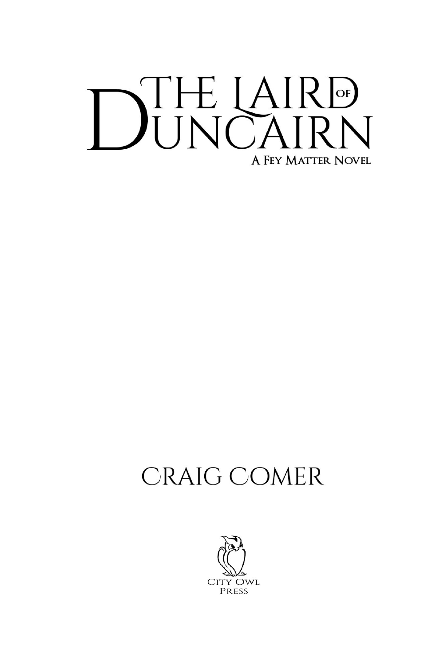# THE LAIRD **A FEY MATTER NOVEL**

### **CRAIG COMER**

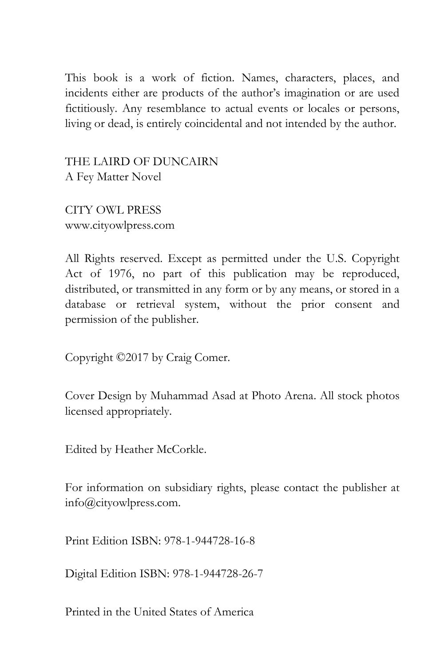This book is a work of fiction. Names, characters, places, and incidents either are products of the author's imagination or are used fictitiously. Any resemblance to actual events or locales or persons, living or dead, is entirely coincidental and not intended by the author.

THE LAIRD OF DUNCAIRN A Fey Matter Novel

CITY OWL PRESS www.cityowlpress.com

All Rights reserved. Except as permitted under the U.S. Copyright Act of 1976, no part of this publication may be reproduced, distributed, or transmitted in any form or by any means, or stored in a database or retrieval system, without the prior consent and permission of the publisher.

Copyright ©2017 by Craig Comer.

Cover Design by Muhammad Asad at Photo Arena. All stock photos licensed appropriately.

Edited by Heather McCorkle.

For information on subsidiary rights, please contact the publisher at info@cityowlpress.com.

Print Edition ISBN: 978-1-944728-16-8

Digital Edition ISBN: 978-1-944728-26-7

Printed in the United States of America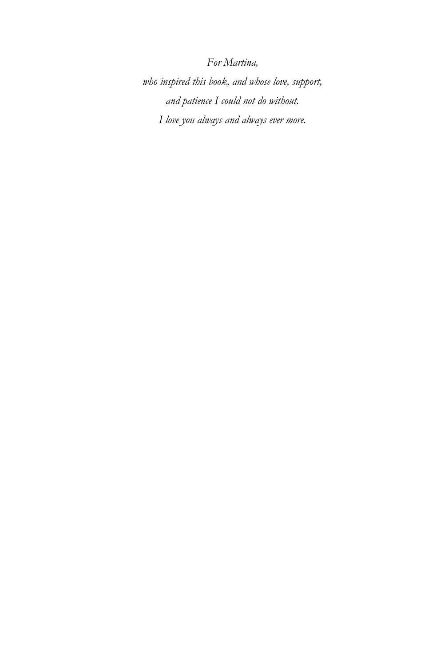*For Martina,*

*who inspired this book, and whose love, support, and patience I could not do without. I love you always and always ever more.*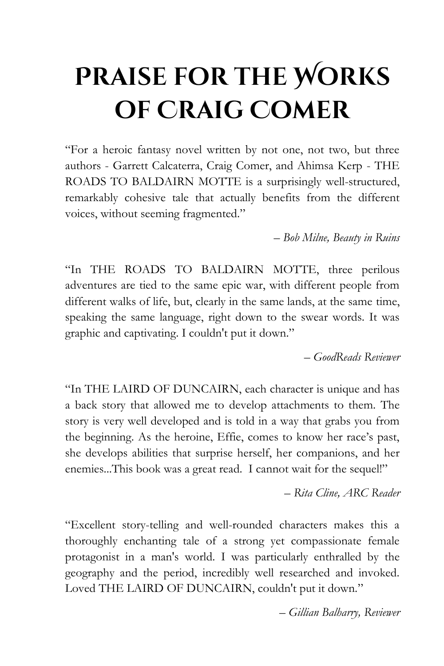# **Praise for the Works of Craig Comer**

"For a heroic fantasy novel written by not one, not two, but three authors - Garrett Calcaterra, Craig Comer, and Ahimsa Kerp - THE ROADS TO BALDAIRN MOTTE is a surprisingly well-structured, remarkably cohesive tale that actually benefits from the different voices, without seeming fragmented."

– *Bob Milne, Beauty in Ruins*

"In THE ROADS TO BALDAIRN MOTTE, three perilous adventures are tied to the same epic war, with different people from different walks of life, but, clearly in the same lands, at the same time, speaking the same language, right down to the swear words. It was graphic and captivating. I couldn't put it down."

– *GoodReads Reviewer*

"In THE LAIRD OF DUNCAIRN, each character is unique and has a back story that allowed me to develop attachments to them. The story is very well developed and is told in a way that grabs you from the beginning. As the heroine, Effie, comes to know her race's past, she develops abilities that surprise herself, her companions, and her enemies...This book was a great read. I cannot wait for the sequel!"

– *Rita Cline, ARC Reader*

"Excellent story-telling and well-rounded characters makes this a thoroughly enchanting tale of a strong yet compassionate female protagonist in a man's world. I was particularly enthralled by the geography and the period, incredibly well researched and invoked. Loved THE LAIRD OF DUNCAIRN, couldn't put it down."

– *Gillian Balharry, Reviewer*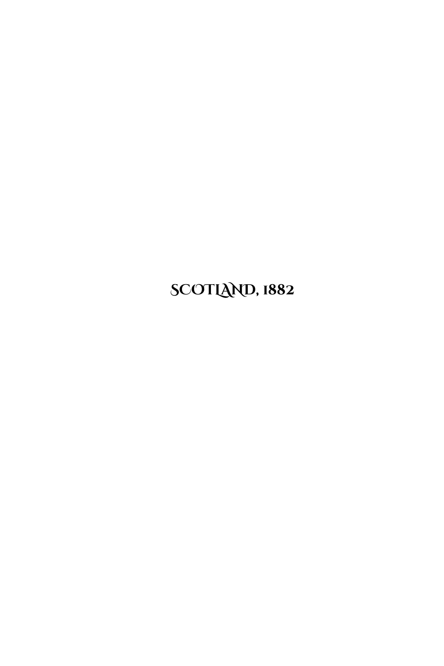#### **SCOTLAND, 1882**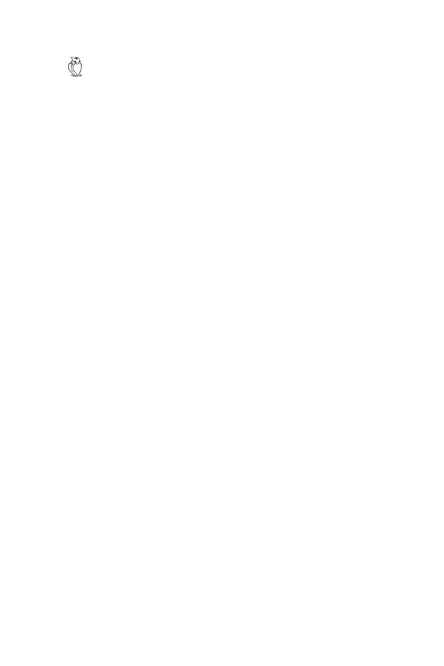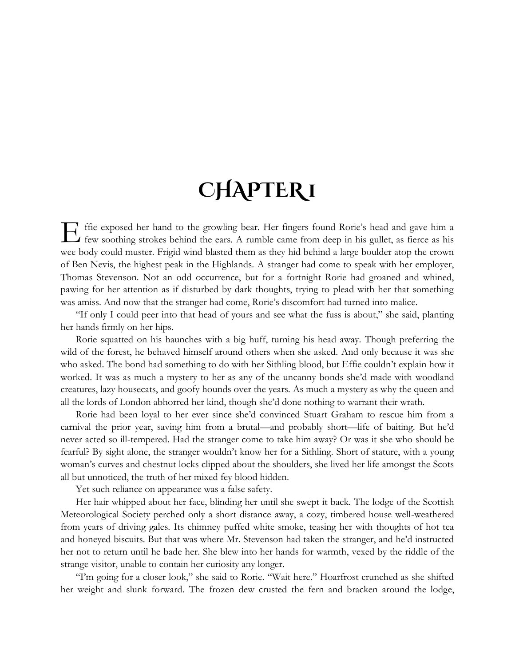## **CHAPTER 1**

ffie exposed her hand to the growling bear. Her fingers found Rorie's head and gave him a EI few soothing strokes behind the ears. A rumble came from deep in his gullet, as fierce as his wee body could muster. Frigid wind blasted them as they hid behind a large boulder atop the crown of Ben Nevis, the highest peak in the Highlands. A stranger had come to speak with her employer, Thomas Stevenson. Not an odd occurrence, but for a fortnight Rorie had groaned and whined, pawing for her attention as if disturbed by dark thoughts, trying to plead with her that something was amiss. And now that the stranger had come, Rorie's discomfort had turned into malice.

"If only I could peer into that head of yours and see what the fuss is about," she said, planting her hands firmly on her hips.

Rorie squatted on his haunches with a big huff, turning his head away. Though preferring the wild of the forest, he behaved himself around others when she asked. And only because it was she who asked. The bond had something to do with her Sithling blood, but Effie couldn't explain how it worked. It was as much a mystery to her as any of the uncanny bonds she'd made with woodland creatures, lazy housecats, and goofy hounds over the years. As much a mystery as why the queen and all the lords of London abhorred her kind, though she'd done nothing to warrant their wrath.

Rorie had been loyal to her ever since she'd convinced Stuart Graham to rescue him from a carnival the prior year, saving him from a brutal—and probably short—life of baiting. But he'd never acted so ill-tempered. Had the stranger come to take him away? Or was it she who should be fearful? By sight alone, the stranger wouldn't know her for a Sithling. Short of stature, with a young woman's curves and chestnut locks clipped about the shoulders, she lived her life amongst the Scots all but unnoticed, the truth of her mixed fey blood hidden.

Yet such reliance on appearance was a false safety.

Her hair whipped about her face, blinding her until she swept it back. The lodge of the Scottish Meteorological Society perched only a short distance away, a cozy, timbered house well-weathered from years of driving gales. Its chimney puffed white smoke, teasing her with thoughts of hot tea and honeyed biscuits. But that was where Mr. Stevenson had taken the stranger, and he'd instructed her not to return until he bade her. She blew into her hands for warmth, vexed by the riddle of the strange visitor, unable to contain her curiosity any longer.

"I'm going for a closer look," she said to Rorie. "Wait here." Hoarfrost crunched as she shifted her weight and slunk forward. The frozen dew crusted the fern and bracken around the lodge,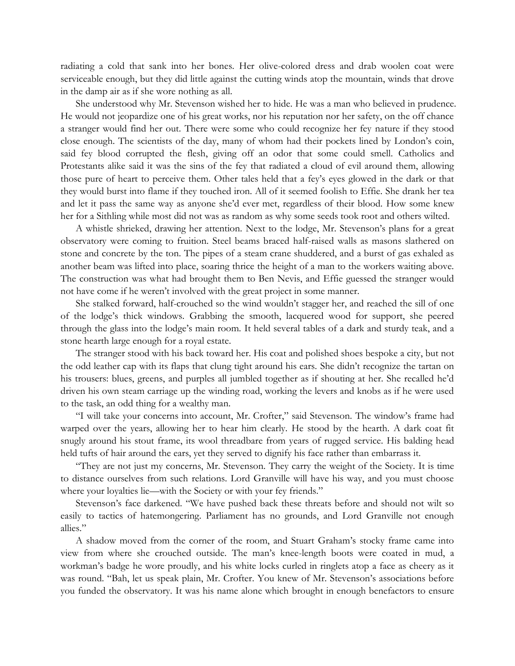radiating a cold that sank into her bones. Her olive-colored dress and drab woolen coat were serviceable enough, but they did little against the cutting winds atop the mountain, winds that drove in the damp air as if she wore nothing as all.

She understood why Mr. Stevenson wished her to hide. He was a man who believed in prudence. He would not jeopardize one of his great works, nor his reputation nor her safety, on the off chance a stranger would find her out. There were some who could recognize her fey nature if they stood close enough. The scientists of the day, many of whom had their pockets lined by London's coin, said fey blood corrupted the flesh, giving off an odor that some could smell. Catholics and Protestants alike said it was the sins of the fey that radiated a cloud of evil around them, allowing those pure of heart to perceive them. Other tales held that a fey's eyes glowed in the dark or that they would burst into flame if they touched iron. All of it seemed foolish to Effie. She drank her tea and let it pass the same way as anyone she'd ever met, regardless of their blood. How some knew her for a Sithling while most did not was as random as why some seeds took root and others wilted.

A whistle shrieked, drawing her attention. Next to the lodge, Mr. Stevenson's plans for a great observatory were coming to fruition. Steel beams braced half-raised walls as masons slathered on stone and concrete by the ton. The pipes of a steam crane shuddered, and a burst of gas exhaled as another beam was lifted into place, soaring thrice the height of a man to the workers waiting above. The construction was what had brought them to Ben Nevis, and Effie guessed the stranger would not have come if he weren't involved with the great project in some manner.

She stalked forward, half-crouched so the wind wouldn't stagger her, and reached the sill of one of the lodge's thick windows. Grabbing the smooth, lacquered wood for support, she peered through the glass into the lodge's main room. It held several tables of a dark and sturdy teak, and a stone hearth large enough for a royal estate.

The stranger stood with his back toward her. His coat and polished shoes bespoke a city, but not the odd leather cap with its flaps that clung tight around his ears. She didn't recognize the tartan on his trousers: blues, greens, and purples all jumbled together as if shouting at her. She recalled he'd driven his own steam carriage up the winding road, working the levers and knobs as if he were used to the task, an odd thing for a wealthy man.

"I will take your concerns into account, Mr. Crofter," said Stevenson. The window's frame had warped over the years, allowing her to hear him clearly. He stood by the hearth. A dark coat fit snugly around his stout frame, its wool threadbare from years of rugged service. His balding head held tufts of hair around the ears, yet they served to dignify his face rather than embarrass it.

"They are not just my concerns, Mr. Stevenson. They carry the weight of the Society. It is time to distance ourselves from such relations. Lord Granville will have his way, and you must choose where your loyalties lie—with the Society or with your fey friends."

Stevenson's face darkened. "We have pushed back these threats before and should not wilt so easily to tactics of hatemongering. Parliament has no grounds, and Lord Granville not enough allies."

A shadow moved from the corner of the room, and Stuart Graham's stocky frame came into view from where she crouched outside. The man's knee-length boots were coated in mud, a workman's badge he wore proudly, and his white locks curled in ringlets atop a face as cheery as it was round. "Bah, let us speak plain, Mr. Crofter. You knew of Mr. Stevenson's associations before you funded the observatory. It was his name alone which brought in enough benefactors to ensure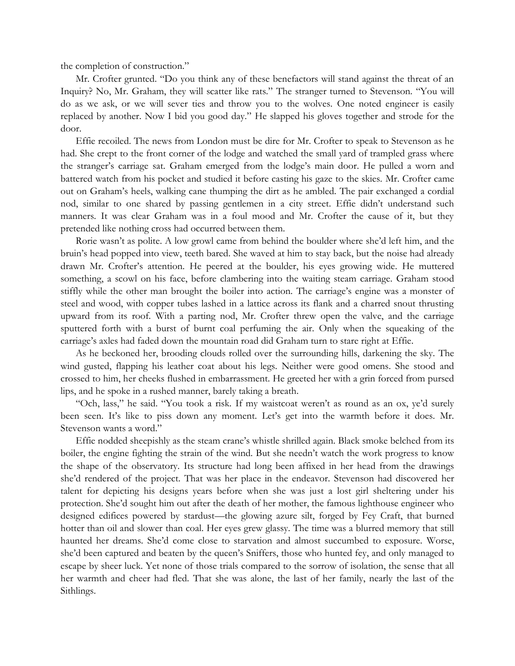the completion of construction."

Mr. Crofter grunted. "Do you think any of these benefactors will stand against the threat of an Inquiry? No, Mr. Graham, they will scatter like rats." The stranger turned to Stevenson. "You will do as we ask, or we will sever ties and throw you to the wolves. One noted engineer is easily replaced by another. Now I bid you good day." He slapped his gloves together and strode for the door.

Effie recoiled. The news from London must be dire for Mr. Crofter to speak to Stevenson as he had. She crept to the front corner of the lodge and watched the small yard of trampled grass where the stranger's carriage sat. Graham emerged from the lodge's main door. He pulled a worn and battered watch from his pocket and studied it before casting his gaze to the skies. Mr. Crofter came out on Graham's heels, walking cane thumping the dirt as he ambled. The pair exchanged a cordial nod, similar to one shared by passing gentlemen in a city street. Effie didn't understand such manners. It was clear Graham was in a foul mood and Mr. Crofter the cause of it, but they pretended like nothing cross had occurred between them.

Rorie wasn't as polite. A low growl came from behind the boulder where she'd left him, and the bruin's head popped into view, teeth bared. She waved at him to stay back, but the noise had already drawn Mr. Crofter's attention. He peered at the boulder, his eyes growing wide. He muttered something, a scowl on his face, before clambering into the waiting steam carriage. Graham stood stiffly while the other man brought the boiler into action. The carriage's engine was a monster of steel and wood, with copper tubes lashed in a lattice across its flank and a charred snout thrusting upward from its roof. With a parting nod, Mr. Crofter threw open the valve, and the carriage sputtered forth with a burst of burnt coal perfuming the air. Only when the squeaking of the carriage's axles had faded down the mountain road did Graham turn to stare right at Effie.

As he beckoned her, brooding clouds rolled over the surrounding hills, darkening the sky. The wind gusted, flapping his leather coat about his legs. Neither were good omens. She stood and crossed to him, her cheeks flushed in embarrassment. He greeted her with a grin forced from pursed lips, and he spoke in a rushed manner, barely taking a breath.

"Och, lass," he said. "You took a risk. If my waistcoat weren't as round as an ox, ye'd surely been seen. It's like to piss down any moment. Let's get into the warmth before it does. Mr. Stevenson wants a word."

Effie nodded sheepishly as the steam crane's whistle shrilled again. Black smoke belched from its boiler, the engine fighting the strain of the wind. But she needn't watch the work progress to know the shape of the observatory. Its structure had long been affixed in her head from the drawings she'd rendered of the project. That was her place in the endeavor. Stevenson had discovered her talent for depicting his designs years before when she was just a lost girl sheltering under his protection. She'd sought him out after the death of her mother, the famous lighthouse engineer who designed edifices powered by stardust—the glowing azure silt, forged by Fey Craft, that burned hotter than oil and slower than coal. Her eyes grew glassy. The time was a blurred memory that still haunted her dreams. She'd come close to starvation and almost succumbed to exposure. Worse, she'd been captured and beaten by the queen's Sniffers, those who hunted fey, and only managed to escape by sheer luck. Yet none of those trials compared to the sorrow of isolation, the sense that all her warmth and cheer had fled. That she was alone, the last of her family, nearly the last of the Sithlings.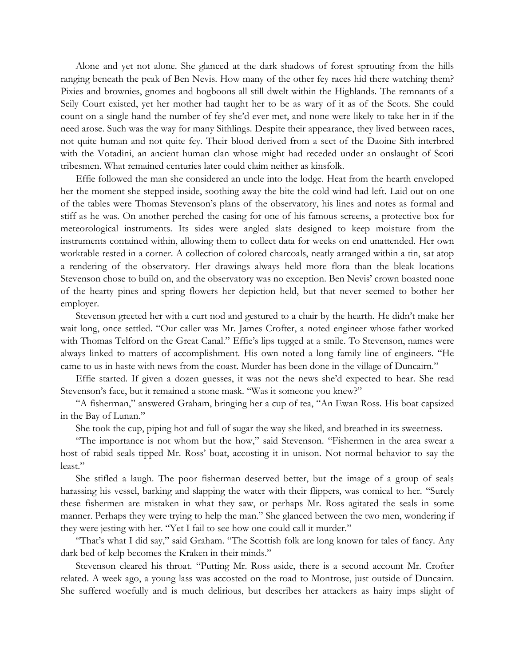Alone and yet not alone. She glanced at the dark shadows of forest sprouting from the hills ranging beneath the peak of Ben Nevis. How many of the other fey races hid there watching them? Pixies and brownies, gnomes and hogboons all still dwelt within the Highlands. The remnants of a Seily Court existed, yet her mother had taught her to be as wary of it as of the Scots. She could count on a single hand the number of fey she'd ever met, and none were likely to take her in if the need arose. Such was the way for many Sithlings. Despite their appearance, they lived between races, not quite human and not quite fey. Their blood derived from a sect of the Daoine Sith interbred with the Votadini, an ancient human clan whose might had receded under an onslaught of Scoti tribesmen. What remained centuries later could claim neither as kinsfolk.

Effie followed the man she considered an uncle into the lodge. Heat from the hearth enveloped her the moment she stepped inside, soothing away the bite the cold wind had left. Laid out on one of the tables were Thomas Stevenson's plans of the observatory, his lines and notes as formal and stiff as he was. On another perched the casing for one of his famous screens, a protective box for meteorological instruments. Its sides were angled slats designed to keep moisture from the instruments contained within, allowing them to collect data for weeks on end unattended. Her own worktable rested in a corner. A collection of colored charcoals, neatly arranged within a tin, sat atop a rendering of the observatory. Her drawings always held more flora than the bleak locations Stevenson chose to build on, and the observatory was no exception. Ben Nevis' crown boasted none of the hearty pines and spring flowers her depiction held, but that never seemed to bother her employer.

Stevenson greeted her with a curt nod and gestured to a chair by the hearth. He didn't make her wait long, once settled. "Our caller was Mr. James Crofter, a noted engineer whose father worked with Thomas Telford on the Great Canal." Effie's lips tugged at a smile. To Stevenson, names were always linked to matters of accomplishment. His own noted a long family line of engineers. "He came to us in haste with news from the coast. Murder has been done in the village of Duncairn."

Effie started. If given a dozen guesses, it was not the news she'd expected to hear. She read Stevenson's face, but it remained a stone mask. "Was it someone you knew?"

"A fisherman," answered Graham, bringing her a cup of tea, "An Ewan Ross. His boat capsized in the Bay of Lunan."

She took the cup, piping hot and full of sugar the way she liked, and breathed in its sweetness.

"The importance is not whom but the how," said Stevenson. "Fishermen in the area swear a host of rabid seals tipped Mr. Ross' boat, accosting it in unison. Not normal behavior to say the least."

She stifled a laugh. The poor fisherman deserved better, but the image of a group of seals harassing his vessel, barking and slapping the water with their flippers, was comical to her. "Surely these fishermen are mistaken in what they saw, or perhaps Mr. Ross agitated the seals in some manner. Perhaps they were trying to help the man." She glanced between the two men, wondering if they were jesting with her. "Yet I fail to see how one could call it murder."

"That's what I did say," said Graham. "The Scottish folk are long known for tales of fancy. Any dark bed of kelp becomes the Kraken in their minds."

Stevenson cleared his throat. "Putting Mr. Ross aside, there is a second account Mr. Crofter related. A week ago, a young lass was accosted on the road to Montrose, just outside of Duncairn. She suffered woefully and is much delirious, but describes her attackers as hairy imps slight of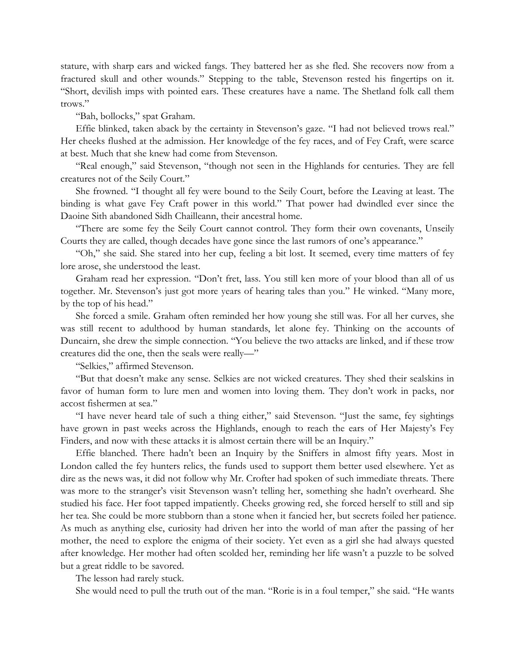stature, with sharp ears and wicked fangs. They battered her as she fled. She recovers now from a fractured skull and other wounds." Stepping to the table, Stevenson rested his fingertips on it. "Short, devilish imps with pointed ears. These creatures have a name. The Shetland folk call them trows."

"Bah, bollocks," spat Graham.

Effie blinked, taken aback by the certainty in Stevenson's gaze. "I had not believed trows real." Her cheeks flushed at the admission. Her knowledge of the fey races, and of Fey Craft, were scarce at best. Much that she knew had come from Stevenson.

"Real enough," said Stevenson, "though not seen in the Highlands for centuries. They are fell creatures not of the Seily Court."

She frowned. "I thought all fey were bound to the Seily Court, before the Leaving at least. The binding is what gave Fey Craft power in this world." That power had dwindled ever since the Daoine Sith abandoned Sidh Chailleann, their ancestral home.

"There are some fey the Seily Court cannot control. They form their own covenants, Unseily Courts they are called, though decades have gone since the last rumors of one's appearance."

"Oh," she said. She stared into her cup, feeling a bit lost. It seemed, every time matters of fey lore arose, she understood the least.

Graham read her expression. "Don't fret, lass. You still ken more of your blood than all of us together. Mr. Stevenson's just got more years of hearing tales than you." He winked. "Many more, by the top of his head."

She forced a smile. Graham often reminded her how young she still was. For all her curves, she was still recent to adulthood by human standards, let alone fey. Thinking on the accounts of Duncairn, she drew the simple connection. "You believe the two attacks are linked, and if these trow creatures did the one, then the seals were really—"

"Selkies," affirmed Stevenson.

"But that doesn't make any sense. Selkies are not wicked creatures. They shed their sealskins in favor of human form to lure men and women into loving them. They don't work in packs, nor accost fishermen at sea."

"I have never heard tale of such a thing either," said Stevenson. "Just the same, fey sightings have grown in past weeks across the Highlands, enough to reach the ears of Her Majesty's Fey Finders, and now with these attacks it is almost certain there will be an Inquiry."

Effie blanched. There hadn't been an Inquiry by the Sniffers in almost fifty years. Most in London called the fey hunters relics, the funds used to support them better used elsewhere. Yet as dire as the news was, it did not follow why Mr. Crofter had spoken of such immediate threats. There was more to the stranger's visit Stevenson wasn't telling her, something she hadn't overheard. She studied his face. Her foot tapped impatiently. Cheeks growing red, she forced herself to still and sip her tea. She could be more stubborn than a stone when it fancied her, but secrets foiled her patience. As much as anything else, curiosity had driven her into the world of man after the passing of her mother, the need to explore the enigma of their society. Yet even as a girl she had always quested after knowledge. Her mother had often scolded her, reminding her life wasn't a puzzle to be solved but a great riddle to be savored.

The lesson had rarely stuck.

She would need to pull the truth out of the man. "Rorie is in a foul temper," she said. "He wants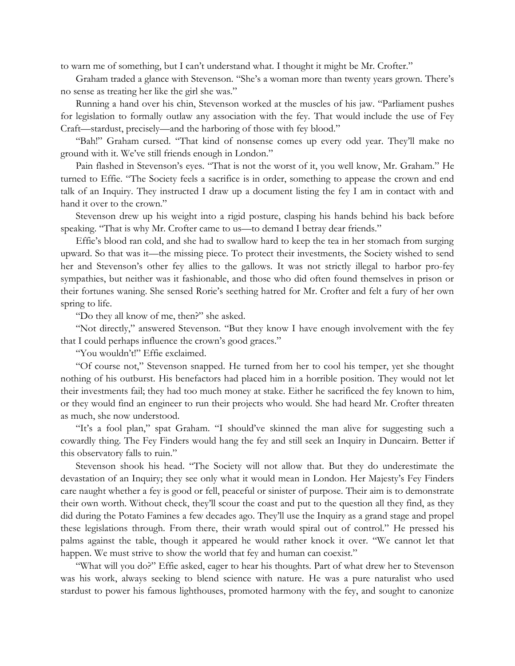to warn me of something, but I can't understand what. I thought it might be Mr. Crofter."

Graham traded a glance with Stevenson. "She's a woman more than twenty years grown. There's no sense as treating her like the girl she was."

Running a hand over his chin, Stevenson worked at the muscles of his jaw. "Parliament pushes for legislation to formally outlaw any association with the fey. That would include the use of Fey Craft—stardust, precisely—and the harboring of those with fey blood."

"Bah!" Graham cursed. "That kind of nonsense comes up every odd year. They'll make no ground with it. We've still friends enough in London."

Pain flashed in Stevenson's eyes. "That is not the worst of it, you well know, Mr. Graham." He turned to Effie. "The Society feels a sacrifice is in order, something to appease the crown and end talk of an Inquiry. They instructed I draw up a document listing the fey I am in contact with and hand it over to the crown."

Stevenson drew up his weight into a rigid posture, clasping his hands behind his back before speaking. "That is why Mr. Crofter came to us—to demand I betray dear friends."

Effie's blood ran cold, and she had to swallow hard to keep the tea in her stomach from surging upward. So that was it—the missing piece. To protect their investments, the Society wished to send her and Stevenson's other fey allies to the gallows. It was not strictly illegal to harbor pro-fey sympathies, but neither was it fashionable, and those who did often found themselves in prison or their fortunes waning. She sensed Rorie's seething hatred for Mr. Crofter and felt a fury of her own spring to life.

"Do they all know of me, then?" she asked.

"Not directly," answered Stevenson. "But they know I have enough involvement with the fey that I could perhaps influence the crown's good graces."

"You wouldn't!" Effie exclaimed.

"Of course not," Stevenson snapped. He turned from her to cool his temper, yet she thought nothing of his outburst. His benefactors had placed him in a horrible position. They would not let their investments fail; they had too much money at stake. Either he sacrificed the fey known to him, or they would find an engineer to run their projects who would. She had heard Mr. Crofter threaten as much, she now understood.

"It's a fool plan," spat Graham. "I should've skinned the man alive for suggesting such a cowardly thing. The Fey Finders would hang the fey and still seek an Inquiry in Duncairn. Better if this observatory falls to ruin."

Stevenson shook his head. "The Society will not allow that. But they do underestimate the devastation of an Inquiry; they see only what it would mean in London. Her Majesty's Fey Finders care naught whether a fey is good or fell, peaceful or sinister of purpose. Their aim is to demonstrate their own worth. Without check, they'll scour the coast and put to the question all they find, as they did during the Potato Famines a few decades ago. They'll use the Inquiry as a grand stage and propel these legislations through. From there, their wrath would spiral out of control." He pressed his palms against the table, though it appeared he would rather knock it over. "We cannot let that happen. We must strive to show the world that fey and human can coexist."

"What will you do?" Effie asked, eager to hear his thoughts. Part of what drew her to Stevenson was his work, always seeking to blend science with nature. He was a pure naturalist who used stardust to power his famous lighthouses, promoted harmony with the fey, and sought to canonize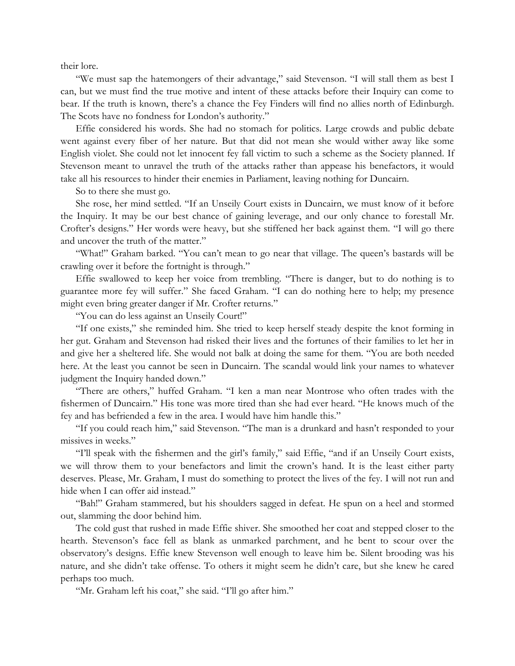their lore.

"We must sap the hatemongers of their advantage," said Stevenson. "I will stall them as best I can, but we must find the true motive and intent of these attacks before their Inquiry can come to bear. If the truth is known, there's a chance the Fey Finders will find no allies north of Edinburgh. The Scots have no fondness for London's authority."

Effie considered his words. She had no stomach for politics. Large crowds and public debate went against every fiber of her nature. But that did not mean she would wither away like some English violet. She could not let innocent fey fall victim to such a scheme as the Society planned. If Stevenson meant to unravel the truth of the attacks rather than appease his benefactors, it would take all his resources to hinder their enemies in Parliament, leaving nothing for Duncairn.

So to there she must go.

She rose, her mind settled. "If an Unseily Court exists in Duncairn, we must know of it before the Inquiry. It may be our best chance of gaining leverage, and our only chance to forestall Mr. Crofter's designs." Her words were heavy, but she stiffened her back against them. "I will go there and uncover the truth of the matter."

"What!" Graham barked. "You can't mean to go near that village. The queen's bastards will be crawling over it before the fortnight is through."

Effie swallowed to keep her voice from trembling. "There is danger, but to do nothing is to guarantee more fey will suffer." She faced Graham. "I can do nothing here to help; my presence might even bring greater danger if Mr. Crofter returns."

"You can do less against an Unseily Court!"

"If one exists," she reminded him. She tried to keep herself steady despite the knot forming in her gut. Graham and Stevenson had risked their lives and the fortunes of their families to let her in and give her a sheltered life. She would not balk at doing the same for them. "You are both needed here. At the least you cannot be seen in Duncairn. The scandal would link your names to whatever judgment the Inquiry handed down."

"There are others," huffed Graham. "I ken a man near Montrose who often trades with the fishermen of Duncairn." His tone was more tired than she had ever heard. "He knows much of the fey and has befriended a few in the area. I would have him handle this."

"If you could reach him," said Stevenson. "The man is a drunkard and hasn't responded to your missives in weeks."

"I'll speak with the fishermen and the girl's family," said Effie, "and if an Unseily Court exists, we will throw them to your benefactors and limit the crown's hand. It is the least either party deserves. Please, Mr. Graham, I must do something to protect the lives of the fey. I will not run and hide when I can offer aid instead."

"Bah!" Graham stammered, but his shoulders sagged in defeat. He spun on a heel and stormed out, slamming the door behind him.

The cold gust that rushed in made Effie shiver. She smoothed her coat and stepped closer to the hearth. Stevenson's face fell as blank as unmarked parchment, and he bent to scour over the observatory's designs. Effie knew Stevenson well enough to leave him be. Silent brooding was his nature, and she didn't take offense. To others it might seem he didn't care, but she knew he cared perhaps too much.

"Mr. Graham left his coat," she said. "I'll go after him."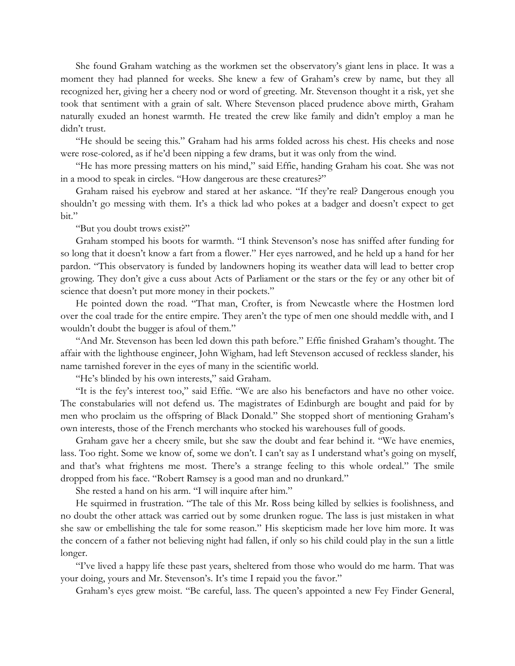She found Graham watching as the workmen set the observatory's giant lens in place. It was a moment they had planned for weeks. She knew a few of Graham's crew by name, but they all recognized her, giving her a cheery nod or word of greeting. Mr. Stevenson thought it a risk, yet she took that sentiment with a grain of salt. Where Stevenson placed prudence above mirth, Graham naturally exuded an honest warmth. He treated the crew like family and didn't employ a man he didn't trust.

"He should be seeing this." Graham had his arms folded across his chest. His cheeks and nose were rose-colored, as if he'd been nipping a few drams, but it was only from the wind.

"He has more pressing matters on his mind," said Effie, handing Graham his coat. She was not in a mood to speak in circles. "How dangerous are these creatures?"

Graham raised his eyebrow and stared at her askance. "If they're real? Dangerous enough you shouldn't go messing with them. It's a thick lad who pokes at a badger and doesn't expect to get bit."

"But you doubt trows exist?"

Graham stomped his boots for warmth. "I think Stevenson's nose has sniffed after funding for so long that it doesn't know a fart from a flower." Her eyes narrowed, and he held up a hand for her pardon. "This observatory is funded by landowners hoping its weather data will lead to better crop growing. They don't give a cuss about Acts of Parliament or the stars or the fey or any other bit of science that doesn't put more money in their pockets."

He pointed down the road. "That man, Crofter, is from Newcastle where the Hostmen lord over the coal trade for the entire empire. They aren't the type of men one should meddle with, and I wouldn't doubt the bugger is afoul of them."

"And Mr. Stevenson has been led down this path before." Effie finished Graham's thought. The affair with the lighthouse engineer, John Wigham, had left Stevenson accused of reckless slander, his name tarnished forever in the eyes of many in the scientific world.

"He's blinded by his own interests," said Graham.

"It is the fey's interest too," said Effie. "We are also his benefactors and have no other voice. The constabularies will not defend us. The magistrates of Edinburgh are bought and paid for by men who proclaim us the offspring of Black Donald." She stopped short of mentioning Graham's own interests, those of the French merchants who stocked his warehouses full of goods.

Graham gave her a cheery smile, but she saw the doubt and fear behind it. "We have enemies, lass. Too right. Some we know of, some we don't. I can't say as I understand what's going on myself, and that's what frightens me most. There's a strange feeling to this whole ordeal." The smile dropped from his face. "Robert Ramsey is a good man and no drunkard."

She rested a hand on his arm. "I will inquire after him."

He squirmed in frustration. "The tale of this Mr. Ross being killed by selkies is foolishness, and no doubt the other attack was carried out by some drunken rogue. The lass is just mistaken in what she saw or embellishing the tale for some reason." His skepticism made her love him more. It was the concern of a father not believing night had fallen, if only so his child could play in the sun a little longer.

"I've lived a happy life these past years, sheltered from those who would do me harm. That was your doing, yours and Mr. Stevenson's. It's time I repaid you the favor."

Graham's eyes grew moist. "Be careful, lass. The queen's appointed a new Fey Finder General,